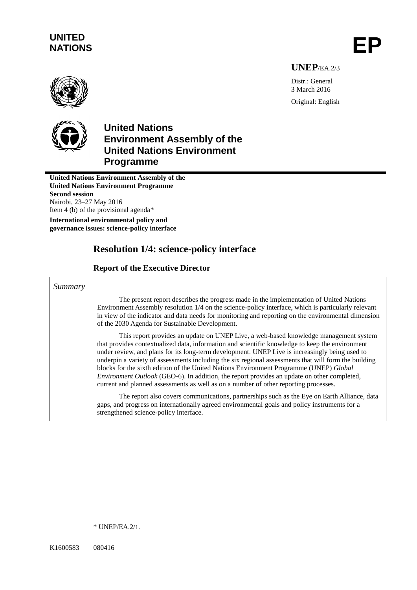# **UNITED** UNITED<br>NATIONS **EP**

**UNEP**/EA.2/3

Distr.: General 3 March 2016 Original: English



# **United Nations Environment Assembly of the United Nations Environment Programme**

**United Nations Environment Assembly of the United Nations Environment Programme Second session** Nairobi, 23–27 May 2016 Item 4 (b) of the provisional agenda\*

**International environmental policy and governance issues: science-policy interface** 

# **Resolution 1/4: science-policy interface**

# **Report of the Executive Director**

### *Summary*

The present report describes the progress made in the implementation of United Nations Environment Assembly resolution 1/4 on the science-policy interface, which is particularly relevant in view of the indicator and data needs for monitoring and reporting on the environmental dimension of the 2030 Agenda for Sustainable Development.

This report provides an update on UNEP Live, a web-based knowledge management system that provides contextualized data, information and scientific knowledge to keep the environment under review, and plans for its long-term development. UNEP Live is increasingly being used to underpin a variety of assessments including the six regional assessments that will form the building blocks for the sixth edition of the United Nations Environment Programme (UNEP) *Global Environment Outlook* (GEO-6). In addition, the report provides an update on other completed, current and planned assessments as well as on a number of other reporting processes.

The report also covers communications, partnerships such as the Eye on Earth Alliance, data gaps, and progress on internationally agreed environmental goals and policy instruments for a strengthened science-policy interface.

 $\overline{a}$ 

<sup>\*</sup> UNEP/EA.2/1.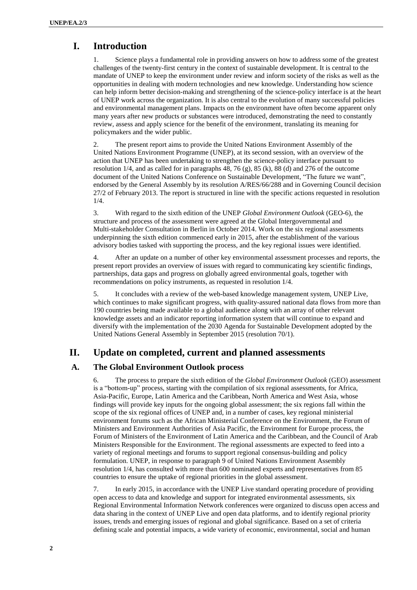# **I. Introduction**

1. Science plays a fundamental role in providing answers on how to address some of the greatest challenges of the twenty-first century in the context of sustainable development. It is central to the mandate of UNEP to keep the environment under review and inform society of the risks as well as the opportunities in dealing with modern technologies and new knowledge. Understanding how science can help inform better decision-making and strengthening of the science-policy interface is at the heart of UNEP work across the organization. It is also central to the evolution of many successful policies and environmental management plans. Impacts on the environment have often become apparent only many years after new products or substances were introduced, demonstrating the need to constantly review, assess and apply science for the benefit of the environment, translating its meaning for policymakers and the wider public.

2. The present report aims to provide the United Nations Environment Assembly of the United Nations Environment Programme (UNEP), at its second session, with an overview of the action that UNEP has been undertaking to strengthen the science-policy interface pursuant to resolution  $1/4$ , and as called for in paragraphs 48, 76 (g), 85 (k), 88 (d) and 276 of the outcome document of the United Nations Conference on Sustainable Development, "The future we want" endorsed by the General Assembly by its resolution A/RES/66/288 and in Governing Council decision 27/2 of February 2013. The report is structured in line with the specific actions requested in resolution 1/4.

3. With regard to the sixth edition of the UNEP *Global Environment Outlook* (GEO-6), the structure and process of the assessment were agreed at the Global Intergovernmental and Multi-stakeholder Consultation in Berlin in October 2014. Work on the six regional assessments underpinning the sixth edition commenced early in 2015, after the establishment of the various advisory bodies tasked with supporting the process, and the key regional issues were identified.

4. After an update on a number of other key environmental assessment processes and reports, the present report provides an overview of issues with regard to communicating key scientific findings, partnerships, data gaps and progress on globally agreed environmental goals, together with recommendations on policy instruments, as requested in resolution 1/4.

5. It concludes with a review of the web-based knowledge management system, UNEP Live, which continues to make significant progress, with quality-assured national data flows from more than 190 countries being made available to a global audience along with an array of other relevant knowledge assets and an indicator reporting information system that will continue to expand and diversify with the implementation of the 2030 Agenda for Sustainable Development adopted by the United Nations General Assembly in September 2015 (resolution 70/1).

## **II. Update on completed, current and planned assessments**

#### **A. The Global Environment Outlook process**

6. The process to prepare the sixth edition of the *Global Environment Outlook* (GEO) assessment is a "bottom-up" process, starting with the compilation of six regional assessments, for Africa, Asia-Pacific, Europe, Latin America and the Caribbean, North America and West Asia, whose findings will provide key inputs for the ongoing global assessment; the six regions fall within the scope of the six regional offices of UNEP and, in a number of cases, key regional ministerial environment forums such as the African Ministerial Conference on the Environment, the Forum of Ministers and Environment Authorities of Asia Pacific, the Environment for Europe process, the Forum of Ministers of the Environment of Latin America and the Caribbean, and the Council of Arab Ministers Responsible for the Environment. The regional assessments are expected to feed into a variety of regional meetings and forums to support regional consensus-building and policy formulation. UNEP, in response to paragraph 9 of United Nations Environment Assembly resolution 1/4, has consulted with more than 600 nominated experts and representatives from 85 countries to ensure the uptake of regional priorities in the global assessment.

7. In early 2015, in accordance with the UNEP Live standard operating procedure of providing open access to data and knowledge and support for integrated environmental assessments, six Regional Environmental Information Network conferences were organized to discuss open access and data sharing in the context of UNEP Live and open data platforms, and to identify regional priority issues, trends and emerging issues of regional and global significance. Based on a set of criteria defining scale and potential impacts, a wide variety of economic, environmental, social and human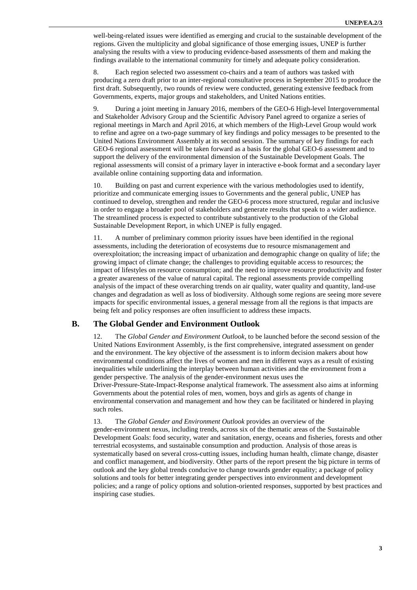well-being-related issues were identified as emerging and crucial to the sustainable development of the regions. Given the multiplicity and global significance of those emerging issues, UNEP is further analysing the results with a view to producing evidence-based assessments of them and making the findings available to the international community for timely and adequate policy consideration.

8. Each region selected two assessment co-chairs and a team of authors was tasked with producing a zero draft prior to an inter-regional consultative process in September 2015 to produce the first draft. Subsequently, two rounds of review were conducted, generating extensive feedback from Governments, experts, major groups and stakeholders, and United Nations entities.

9. During a joint meeting in January 2016, members of the GEO-6 High-level Intergovernmental and Stakeholder Advisory Group and the Scientific Advisory Panel agreed to organize a series of regional meetings in March and April 2016, at which members of the High-Level Group would work to refine and agree on a two-page summary of key findings and policy messages to be presented to the United Nations Environment Assembly at its second session. The summary of key findings for each GEO-6 regional assessment will be taken forward as a basis for the global GEO-6 assessment and to support the delivery of the environmental dimension of the Sustainable Development Goals. The regional assessments will consist of a primary layer in interactive e-book format and a secondary layer available online containing supporting data and information.

10. Building on past and current experience with the various methodologies used to identify, prioritize and communicate emerging issues to Governments and the general public, UNEP has continued to develop, strengthen and render the GEO-6 process more structured, regular and inclusive in order to engage a broader pool of stakeholders and generate results that speak to a wider audience. The streamlined process is expected to contribute substantively to the production of the Global Sustainable Development Report, in which UNEP is fully engaged.

11. A number of preliminary common priority issues have been identified in the regional assessments, including the deterioration of ecosystems due to resource mismanagement and overexploitation; the increasing impact of urbanization and demographic change on quality of life; the growing impact of climate change; the challenges to providing equitable access to resources; the impact of lifestyles on resource consumption; and the need to improve resource productivity and foster a greater awareness of the value of natural capital. The regional assessments provide compelling analysis of the impact of these overarching trends on air quality, water quality and quantity, land-use changes and degradation as well as loss of biodiversity. Although some regions are seeing more severe impacts for specific environmental issues, a general message from all the regions is that impacts are being felt and policy responses are often insufficient to address these impacts.

#### **B. The Global Gender and Environment Outlook**

12. The *Global Gender and Environment Outlook*, to be launched before the second session of the United Nations Environment Assembly, is the first comprehensive, integrated assessment on gender and the environment. The key objective of the assessment is to inform decision makers about how environmental conditions affect the lives of women and men in different ways as a result of existing inequalities while underlining the interplay between human activities and the environment from a gender perspective. The analysis of the gender-environment nexus uses the

Driver-Pressure-State-Impact-Response analytical framework. The assessment also aims at informing Governments about the potential roles of men, women, boys and girls as agents of change in environmental conservation and management and how they can be facilitated or hindered in playing such roles.

#### 13. The *Global Gender and Environment Outlook* provides an overview of the

gender-environment nexus, including trends, across six of the thematic areas of the Sustainable Development Goals: food security, water and sanitation, energy, oceans and fisheries, forests and other terrestrial ecosystems, and sustainable consumption and production. Analysis of those areas is systematically based on several cross-cutting issues, including human health, climate change, disaster and conflict management, and biodiversity. Other parts of the report present the big picture in terms of outlook and the key global trends conducive to change towards gender equality; a package of policy solutions and tools for better integrating gender perspectives into environment and development policies; and a range of policy options and solution-oriented responses, supported by best practices and inspiring case studies.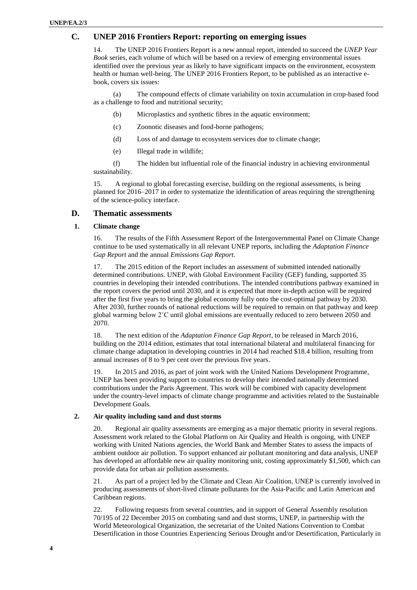#### **C. UNEP 2016 Frontiers Report: reporting on emerging issues**

14. The UNEP 2016 Frontiers Report is a new annual report, intended to succeed the *UNEP Year Book* series, each volume of which will be based on a review of emerging environmental issues identified over the previous year as likely to have significant impacts on the environment, ecosystem health or human well-being. The UNEP 2016 Frontiers Report, to be published as an interactive ebook, covers six issues:

(a) The compound effects of climate variability on toxin accumulation in crop-based food as a challenge to food and nutritional security;

- (b) Microplastics and synthetic fibres in the aquatic environment;
- (c) Zoonotic diseases and food-borne pathogens;
- (d) Loss of and damage to ecosystem services due to climate change;
- (e) Illegal trade in wildlife;

(f) The hidden but influential role of the financial industry in achieving environmental sustainability.

15. A regional to global forecasting exercise, building on the regional assessments, is being planned for 2016–2017 in order to systematize the identification of areas requiring the strengthening of the science-policy interface.

#### **D. Thematic assessments**

#### **1. Climate change**

16. The results of the Fifth Assessment Report of the Intergovernmental Panel on Climate Change continue to be used systematically in all relevant UNEP reports, including the *Adaptation Finance Gap Report* and the annual *Emissions Gap Report*.

17. The 2015 edition of the Report includes an assessment of submitted intended nationally determined contributions. UNEP, with Global Environment Facility (GEF) funding, supported 35 countries in developing their intended contributions. The intended contributions pathway examined in the report covers the period until 2030, and it is expected that more in-depth action will be required after the first five years to bring the global economy fully onto the cost-optimal pathway by 2030. After 2030, further rounds of national reductions will be required to remain on that pathway and keep global warming below 2˚C until global emissions are eventually reduced to zero between 2050 and 2070.

18. The next edition of the *Adaptation Finance Gap Report*, to be released in March 2016, building on the 2014 edition, estimates that total international bilateral and multilateral financing for climate change adaptation in developing countries in 2014 had reached \$18.4 billion, resulting from annual increases of 8 to 9 per cent over the previous five years.

19. In 2015 and 2016, as part of joint work with the United Nations Development Programme, UNEP has been providing support to countries to develop their intended nationally determined contributions under the Paris Agreement. This work will be combined with capacity development under the country-level impacts of climate change programme and activities related to the Sustainable Development Goals.

#### **2. Air quality including sand and dust storms**

20. Regional air quality assessments are emerging as a major thematic priority in several regions. Assessment work related to the Global Platform on Air Quality and Health is ongoing, with UNEP working with United Nations agencies, the World Bank and Member States to assess the impacts of ambient outdoor air pollution. To support enhanced air pollutant monitoring and data analysis, UNEP has developed an affordable new air quality monitoring unit, costing approximately \$1,500, which can provide data for urban air pollution assessments.

21. As part of a project led by the Climate and Clean Air Coalition, UNEP is currently involved in producing assessments of short-lived climate pollutants for the Asia-Pacific and Latin American and Caribbean regions.

22. Following requests from several countries, and in support of General Assembly resolution 70/195 of 22 December 2015 on combating sand and dust storms, UNEP, in partnership with the World Meteorological Organization, the secretariat of the United Nations Convention to Combat Desertification in those Countries Experiencing Serious Drought and/or Desertification, Particularly in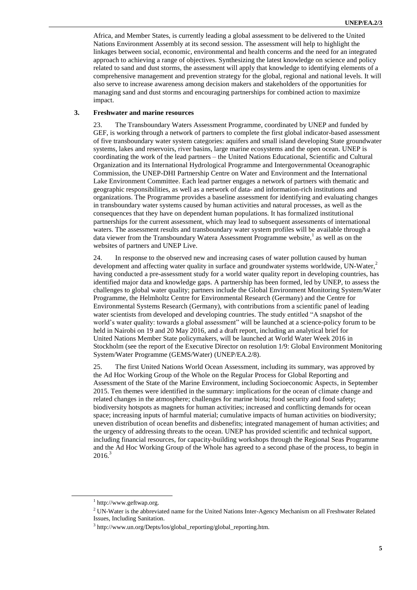Africa, and Member States, is currently leading a global assessment to be delivered to the United Nations Environment Assembly at its second session. The assessment will help to highlight the linkages between social, economic, environmental and health concerns and the need for an integrated approach to achieving a range of objectives. Synthesizing the latest knowledge on science and policy related to sand and dust storms, the assessment will apply that knowledge to identifying elements of a comprehensive management and prevention strategy for the global, regional and national levels. It will also serve to increase awareness among decision makers and stakeholders of the opportunities for managing sand and dust storms and encouraging partnerships for combined action to maximize impact.

#### **3. Freshwater and marine resources**

23. The Transboundary Waters Assessment Programme, coordinated by UNEP and funded by GEF, is working through a network of partners to complete the first global indicator-based assessment of five transboundary water system categories: aquifers and small island developing State groundwater systems, lakes and reservoirs, river basins, large marine ecosystems and the open ocean. UNEP is coordinating the work of the lead partners – the United Nations Educational, Scientific and Cultural Organization and its International Hydrological Programme and Intergovernmental Oceanographic Commission, the UNEP-DHI Partnership Centre on Water and Environment and the International Lake Environment Committee. Each lead partner engages a network of partners with thematic and geographic responsibilities, as well as a network of data- and information-rich institutions and organizations. The Programme provides a baseline assessment for identifying and evaluating changes in transboundary water systems caused by human activities and natural processes, as well as the consequences that they have on dependent human populations. It has formalized institutional partnerships for the current assessment, which may lead to subsequent assessments of international waters. The assessment results and transboundary water system profiles will be available through a data viewer from the Transboundary Watera Assessment Programme website, 1 as well as on the websites of partners and UNEP Live.

24. In response to the observed new and increasing cases of water pollution caused by human development and affecting water quality in surface and groundwater systems worldwide, UN-Water,<sup>2</sup> having conducted a pre-assessment study for a world water quality report in developing countries, has identified major data and knowledge gaps. A partnership has been formed, led by UNEP, to assess the challenges to global water quality; partners include the Global Environment Monitoring System/Water Programme, the Helmholtz Centre for Environmental Research (Germany) and the Centre for Environmental Systems Research (Germany), with contributions from a scientific panel of leading water scientists from developed and developing countries. The study entitled "A snapshot of the world's water quality: towards a global assessment" will be launched at a science-policy forum to be held in Nairobi on 19 and 20 May 2016, and a draft report, including an analytical brief for United Nations Member State policymakers, will be launched at World Water Week 2016 in Stockholm (see the report of the Executive Director on resolution 1/9: Global Environment Monitoring System/Water Programme (GEMS/Water) (UNEP/EA.2/8).

25. The first United Nations World Ocean Assessment, including its summary, was approved by the Ad Hoc Working Group of the Whole on the Regular Process for Global Reporting and Assessment of the State of the Marine Environment, including Socioeconomic Aspects, in September 2015. Ten themes were identified in the summary: implications for the ocean of climate change and related changes in the atmosphere; challenges for marine biota; food security and food safety; biodiversity hotspots as magnets for human activities; increased and conflicting demands for ocean space; increasing inputs of harmful material; cumulative impacts of human activities on biodiversity; uneven distribution of ocean benefits and disbenefits; integrated management of human activities; and the urgency of addressing threats to the ocean. UNEP has provided scientific and technical support, including financial resources, for capacity-building workshops through the Regional Seas Programme and the Ad Hoc Working Group of the Whole has agreed to a second phase of the process, to begin in  $2016.<sup>3</sup>$ 

 $\overline{a}$ 

<sup>1</sup> http:/[/www.geftwap.org.](http://www.geftwap.org/)

<sup>&</sup>lt;sup>2</sup> UN-Water is the abbreviated name for the United Nations Inter-Agency Mechanism on all Freshwater Related Issues, Including Sanitation.

<sup>&</sup>lt;sup>3</sup> [http://www.un.org/Depts/los/global\\_reporting/global\\_reporting.htm.](http://www.un.org/Depts/los/global_reporting/global_reporting.htm)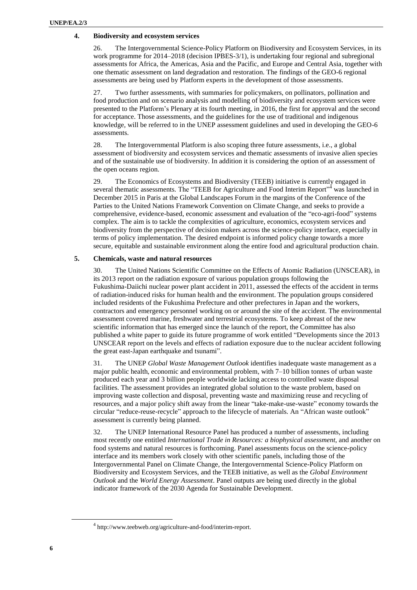#### **4. Biodiversity and ecosystem services**

26. The Intergovernmental Science-Policy Platform on Biodiversity and Ecosystem Services, in its work programme for 2014–2018 (decision IPBES-3/1), is undertaking four regional and subregional assessments for Africa, the Americas, Asia and the Pacific, and Europe and Central Asia, together with one thematic assessment on land degradation and restoration. The findings of the GEO-6 regional assessments are being used by Platform experts in the development of those assessments.

27. Two further assessments, with summaries for policymakers, on pollinators, pollination and food production and on scenario analysis and modelling of biodiversity and ecosystem services were presented to the Platform's Plenary at its fourth meeting, in 2016, the first for approval and the second for acceptance. Those assessments, and the guidelines for the use of traditional and indigenous knowledge, will be referred to in the UNEP assessment guidelines and used in developing the GEO-6 assessments.

28. The Intergovernmental Platform is also scoping three future assessments, i.e., a global assessment of biodiversity and ecosystem services and thematic assessments of invasive alien species and of the sustainable use of biodiversity. In addition it is considering the option of an assessment of the open oceans region.

29. The Economics of Ecosystems and Biodiversity (TEEB) initiative is currently engaged in several thematic assessments. The "TEEB for Agriculture and Food Interim Report"<sup>4</sup> was launched in December 2015 in Paris at the Global Landscapes Forum in the margins of the Conference of the Parties to the United Nations Framework Convention on Climate Change, and seeks to provide a comprehensive, evidence-based, economic assessment and evaluation of the "eco-agri-food" systems complex. The aim is to tackle the complexities of agriculture, economics, ecosystem services and biodiversity from the perspective of decision makers across the science-policy interface, especially in terms of policy implementation. The desired endpoint is informed policy change towards a more secure, equitable and sustainable environment along the entire food and agricultural production chain.

#### **5. Chemicals, waste and natural resources**

30. The United Nations Scientific Committee on the Effects of Atomic Radiation (UNSCEAR), in its [2013 report](http://www.unscear.org/unscear/en/publications/2013_1.html) on the radiation exposure of various population groups following the Fukushima-Daiichi nuclear power plant accident in 2011, assessed the effects of the accident in terms of radiation-induced risks for human health and the environment. The population groups considered included residents of the Fukushima Prefecture and other prefectures in Japan and the workers, contractors and emergency personnel working on or around the site of the accident. The environmental assessment covered marine, freshwater and terrestrial ecosystems. To keep abreast of the new scientific information that has emerged since the launch of the report, the Committee has also published a white paper to guide its future programme of work entitled "Developments since the 2013 UNSCEAR report on the levels and effects of radiation exposure due to the nuclear accident following the great east-Japan earthquake and tsunami".

31. The UNEP *Global Waste Management Outlook* identifies inadequate waste management as a major public health, economic and environmental problem, with 7–10 billion tonnes of urban waste produced each year and 3 billion people worldwide lacking access to controlled waste disposal facilities. The assessment provides an integrated global solution to the waste problem, based on improving waste collection and disposal, preventing waste and maximizing reuse and recycling of resources, and a major policy shift away from the linear "take-make-use-waste" economy towards the circular "reduce-reuse-recycle" approach to the lifecycle of materials. An "African waste outlook" assessment is currently being planned.

32. The UNEP International Resource Panel has produced a number of assessments, including most recently one entitled *International Trade in Resources: a biophysical assessment*, and another on food systems and natural resources is forthcoming. Panel assessments focus on the science-policy interface and its members work closely with other scientific panels, including those of the Intergovernmental Panel on Climate Change, the Intergovernmental Science-Policy Platform on Biodiversity and Ecosystem Services, and the TEEB initiative, as well as the *Global Environment Outlook* and the *World Energy Assessment*. Panel outputs are being used directly in the global indicator framework of the 2030 Agenda for Sustainable Development.

l

<sup>&</sup>lt;sup>4</sup> http://www.teebweb.org/agriculture-and-food/interim-report.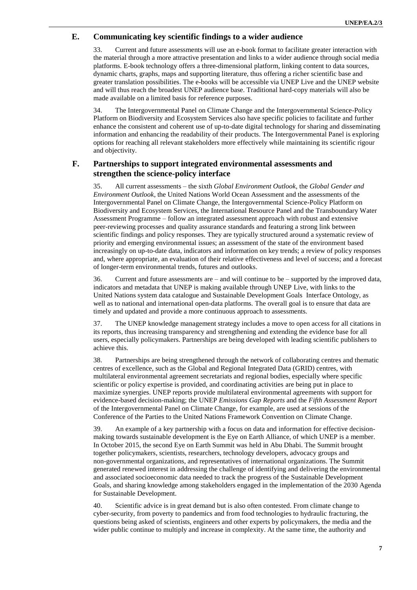### **E. Communicating key scientific findings to a wider audience**

33. Current and future assessments will use an e-book format to facilitate greater interaction with the material through a more attractive presentation and links to a wider audience through social media platforms. E-book technology offers a three-dimensional platform, linking content to data sources, dynamic charts, graphs, maps and supporting literature, thus offering a richer scientific base and greater translation possibilities. The e-books will be accessible via UNEP Live and the UNEP website and will thus reach the broadest UNEP audience base. Traditional hard-copy materials will also be made available on a limited basis for reference purposes.

34. The Intergovernmental Panel on Climate Change and the Intergovernmental Science-Policy Platform on Biodiversity and Ecosystem Services also have specific policies to facilitate and further enhance the consistent and coherent use of up-to-date digital technology for sharing and disseminating information and enhancing the readability of their products. The Intergovernmental Panel is exploring options for reaching all relevant stakeholders more effectively while maintaining its scientific rigour and objectivity.

### **F. Partnerships to support integrated environmental assessments and strengthen the science-policy interface**

35. All current assessments – the sixth *Global Environment Outlook*, the *Global Gender and Environment Outlook*, the United Nations World Ocean Assessment and the assessments of the Intergovernmental Panel on Climate Change, the Intergovernmental Science-Policy Platform on Biodiversity and Ecosystem Services, the International Resource Panel and the Transboundary Water Assessment Programme – follow an integrated assessment approach with robust and extensive peer-reviewing processes and quality assurance standards and featuring a strong link between scientific findings and policy responses. They are typically structured around a systematic review of priority and emerging environmental issues; an assessment of the state of the environment based increasingly on up-to-date data, indicators and information on key trends; a review of policy responses and, where appropriate, an evaluation of their relative effectiveness and level of success; and a forecast of longer-term environmental trends, futures and outlooks.

36. Current and future assessments are – and will continue to be – supported by the improved data, indicators and metadata that UNEP is making available through UNEP Live, with links to the United Nations system data catalogue and Sustainable Development Goals Interface Ontology, as well as to national and international open-data platforms. The overall goal is to ensure that data are timely and updated and provide a more continuous approach to assessments.

37. The UNEP knowledge management strategy includes a move to open access for all citations in its reports, thus increasing transparency and strengthening and extending the evidence base for all users, especially policymakers. Partnerships are being developed with leading scientific publishers to achieve this.

38. Partnerships are being strengthened through the network of collaborating centres and thematic centres of excellence, such as the Global and Regional Integrated Data (GRID) centres, with multilateral environmental agreement secretariats and regional bodies, especially where specific scientific or policy expertise is provided, and coordinating activities are being put in place to maximize synergies. UNEP reports provide multilateral environmental agreements with support for evidence-based decision-making; the UNEP *Emissions Gap Reports* and the *Fifth Assessment Report* of the Intergovernmental Panel on Climate Change, for example, are used at sessions of the Conference of the Parties to the United Nations Framework Convention on Climate Change.

39. An example of a key partnership with a focus on data and information for effective decisionmaking towards sustainable development is the Eye on Earth Alliance, of which UNEP is a member. In October 2015, the second Eye on Earth Summit was held in Abu Dhabi. The Summit brought together policymakers, scientists, researchers, technology developers, advocacy groups and non-governmental organizations, and representatives of international organizations. The Summit generated renewed interest in addressing the challenge of identifying and delivering the environmental and associated socioeconomic data needed to track the progress of the Sustainable Development Goals, and sharing knowledge among stakeholders engaged in the implementation of the 2030 Agenda for Sustainable Development.

40. Scientific advice is in great demand but is also often contested. From climate change to cyber-security, from poverty to pandemics and from food technologies to hydraulic fracturing, the questions being asked of scientists, engineers and other experts by policymakers, the media and the wider public continue to multiply and increase in complexity. At the same time, the authority and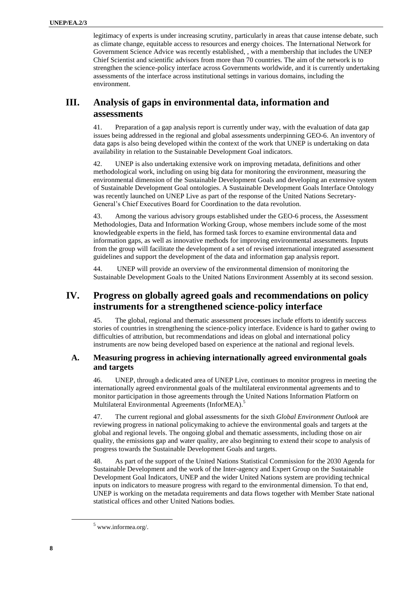legitimacy of experts is under increasing scrutiny, particularly in areas that cause intense debate, such as climate change, equitable access to resources and energy choices. The International Network for Government Science Advice was recently established, , with a membership that includes the UNEP Chief Scientist and scientific advisors from more than 70 countries. The aim of the network is to strengthen the science-policy interface across Governments worldwide, and it is currently undertaking assessments of the interface across institutional settings in various domains, including the environment.

# **III. Analysis of gaps in environmental data, information and assessments**

41. Preparation of a gap analysis report is currently under way, with the evaluation of data gap issues being addressed in the regional and global assessments underpinning GEO-6. An inventory of data gaps is also being developed within the context of the work that UNEP is undertaking on data availability in relation to the Sustainable Development Goal indicators.

42. UNEP is also undertaking extensive work on improving metadata, definitions and other methodological work, including on using big data for monitoring the environment, measuring the environmental dimension of the Sustainable Development Goals and developing an extensive system of Sustainable Development Goal ontologies. A Sustainable Development Goals Interface Ontology was recently launched on UNEP Live as part of the response of the United Nations Secretary-General's Chief Executives Board for Coordination to the data revolution.

43. Among the various advisory groups established under the GEO-6 process, the Assessment Methodologies, Data and Information Working Group, whose members include some of the most knowledgeable experts in the field, has formed task forces to examine environmental data and information gaps, as well as innovative methods for improving environmental assessments. Inputs from the group will facilitate the development of a set of revised international integrated assessment guidelines and support the development of the data and information gap analysis report.

44. UNEP will provide an overview of the environmental dimension of monitoring the Sustainable Development Goals to the United Nations Environment Assembly at its second session.

# **IV. Progress on globally agreed goals and recommendations on policy instruments for a strengthened science-policy interface**

45. The global, regional and thematic assessment processes include efforts to identify success stories of countries in strengthening the science-policy interface. Evidence is hard to gather owing to difficulties of attribution, but recommendations and ideas on global and international policy instruments are now being developed based on experience at the national and regional levels.

### **A. Measuring progress in achieving internationally agreed environmental goals and targets**

46. UNEP, through a dedicated area of UNEP Live, continues to monitor progress in meeting the internationally agreed environmental goals of the multilateral environmental agreements and to monitor participation in those agreements through the United Nations Information Platform on Multilateral Environmental Agreements (InforMEA).<sup>5</sup>

47. The current regional and global assessments for the sixth *Global Environment Outlook* are reviewing progress in national policymaking to achieve the environmental goals and targets at the global and regional levels. The ongoing global and thematic assessments, including those on air quality, the emissions gap and water quality, are also beginning to extend their scope to analysis of progress towards the Sustainable Development Goals and targets.

48. As part of the support of the United Nations Statistical Commission for the 2030 Agenda for Sustainable Development and the work of the Inter-agency and Expert Group on the Sustainable Development Goal Indicators, UNEP and the wider United Nations system are providing technical inputs on indicators to measure progress with regard to the environmental dimension. To that end, UNEP is working on the metadata requirements and data flows together with Member State national statistical offices and other United Nations bodies.

l

 $^5$  [www.informea.org/.](file:///C:/Users/user/AppData/Local/Temp/www.informea.org/)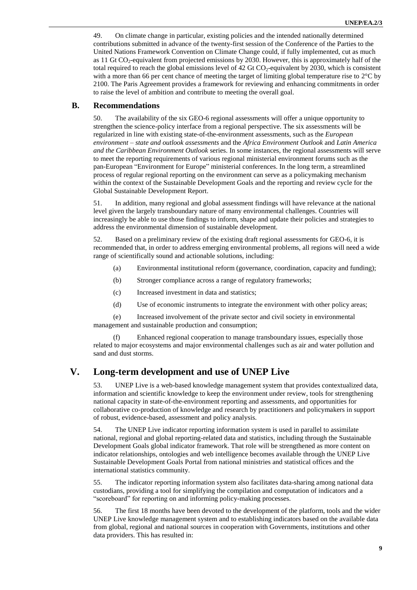49. On climate change in particular, existing policies and the intended nationally determined contributions submitted in advance of the twenty-first session of the Conference of the Parties to the United Nations Framework Convention on Climate Change could, if fully implemented, cut as much as 11 Gt CO<sub>2</sub>-equivalent from projected emissions by 2030. However, this is approximately half of the total required to reach the global emissions level of 42 Gt  $CO<sub>2</sub>$ -equivalent by 2030, which is consistent with a more than 66 per cent chance of meeting the target of limiting global temperature rise to  $2^{\circ}$ C by 2100. The Paris Agreement provides a framework for reviewing and enhancing commitments in order to raise the level of ambition and contribute to meeting the overall goal.

### **B. Recommendations**

50. The availability of the six GEO-6 regional assessments will offer a unique opportunity to strengthen the science-policy interface from a regional perspective. The six assessments will be regularized in line with existing state-of-the-environment assessments, such as the *European environment – state and outlook assessments* and the *Africa Environment Outlook* and *Latin America and the Caribbean Environment Outlook* series. In some instances, the regional assessments will serve to meet the reporting requirements of various regional ministerial environment forums such as the pan-European "Environment for Europe" ministerial conferences. In the long term, a streamlined process of regular regional reporting on the environment can serve as a policymaking mechanism within the context of the Sustainable Development Goals and the reporting and review cycle for the Global Sustainable Development Report.

51. In addition, many regional and global assessment findings will have relevance at the national level given the largely transboundary nature of many environmental challenges. Countries will increasingly be able to use those findings to inform, shape and update their policies and strategies to address the environmental dimension of sustainable development.

52. Based on a preliminary review of the existing draft regional assessments for GEO-6, it is recommended that, in order to address emerging environmental problems, all regions will need a wide range of scientifically sound and actionable solutions, including:

- (a) Environmental institutional reform (governance, coordination, capacity and funding);
- (b) Stronger compliance across a range of regulatory frameworks;
- (c) Increased investment in data and statistics;
- (d) Use of economic instruments to integrate the environment with other policy areas;

(e) Increased involvement of the private sector and civil society in environmental management and sustainable production and consumption;

(f) Enhanced regional cooperation to manage transboundary issues, especially those related to major ecosystems and major environmental challenges such as air and water pollution and sand and dust storms.

# **V. Long-term development and use of UNEP Live**

UNEP Live is a web-based knowledge management system that provides contextualized data, information and scientific knowledge to keep the environment under review, tools for strengthening national capacity in state-of-the-environment reporting and assessments, and opportunities for collaborative co-production of knowledge and research by practitioners and policymakers in support of robust, evidence-based, assessment and policy analysis.

54. The UNEP Live indicator reporting information system is used in parallel to assimilate national, regional and global reporting-related data and statistics, including through the Sustainable Development Goals global indicator framework. That role will be strengthened as more content on indicator relationships, ontologies and web intelligence becomes available through the UNEP Live Sustainable Development Goals Portal from national ministries and statistical offices and the international statistics community.

55. The indicator reporting information system also facilitates data-sharing among national data custodians, providing a tool for simplifying the compilation and computation of indicators and a "scoreboard" for reporting on and informing policy-making processes.

56. The first 18 months have been devoted to the development of the platform, tools and the wider UNEP Live knowledge management system and to establishing indicators based on the available data from global, regional and national sources in cooperation with Governments, institutions and other data providers. This has resulted in: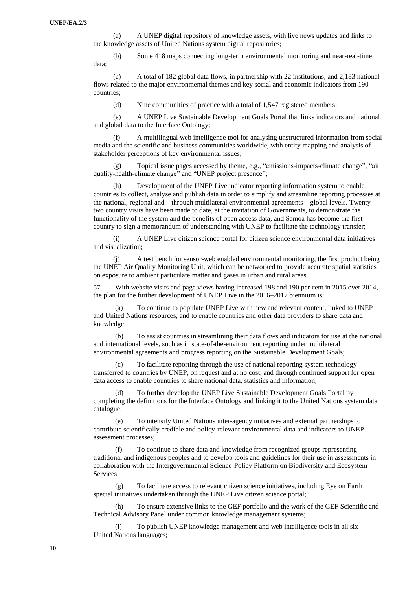(a) A UNEP digital repository of knowledge assets, with live news updates and links to the knowledge assets of United Nations system digital repositories;

(b) Some 418 maps connecting long-term environmental monitoring and near-real-time data;

(c) A total of 182 global data flows, in partnership with 22 institutions, and 2,183 national flows related to the major environmental themes and key social and economic indicators from 190 countries;

(d) Nine communities of practice with a total of 1,547 registered members;

(e) A UNEP Live Sustainable Development Goals Portal that links indicators and national and global data to the Interface Ontology;

(f) A multilingual web intelligence tool for analysing unstructured information from social media and the scientific and business communities worldwide, with entity mapping and analysis of stakeholder perceptions of key environmental issues;

(g) Topical issue pages accessed by theme, e.g., "emissions-impacts-climate change", "air quality-health-climate change" and "UNEP project presence";

(h) Development of the UNEP Live indicator reporting information system to enable countries to collect, analyse and publish data in order to simplify and streamline reporting processes at the national, regional and – through multilateral environmental agreements – global levels. Twentytwo country visits have been made to date, at the invitation of Governments, to demonstrate the functionality of the system and the benefits of open access data, and Samoa has become the first country to sign a memorandum of understanding with UNEP to facilitate the technology transfer;

(i) A UNEP Live citizen science portal for citizen science environmental data initiatives and visualization;

(j) A test bench for sensor-web enabled environmental monitoring, the first product being the UNEP Air Quality Monitoring Unit, which can be networked to provide accurate spatial statistics on exposure to ambient particulate matter and gases in urban and rural areas.

57. With website visits and page views having increased 198 and 190 per cent in 2015 over 2014, the plan for the further development of UNEP Live in the 2016–2017 biennium is:

(a) To continue to populate UNEP Live with new and relevant content, linked to UNEP and United Nations resources, and to enable countries and other data providers to share data and knowledge;

(b) To assist countries in streamlining their data flows and indicators for use at the national and international levels, such as in state-of-the-environment reporting under multilateral environmental agreements and progress reporting on the Sustainable Development Goals;

(c) To facilitate reporting through the use of national reporting system technology transferred to countries by UNEP, on request and at no cost, and through continued support for open data access to enable countries to share national data, statistics and information;

To further develop the UNEP Live Sustainable Development Goals Portal by completing the definitions for the Interface Ontology and linking it to the United Nations system data catalogue;

(e) To intensify United Nations inter-agency initiatives and external partnerships to contribute scientifically credible and policy-relevant environmental data and indicators to UNEP assessment processes;

(f) To continue to share data and knowledge from recognized groups representing traditional and indigenous peoples and to develop tools and guidelines for their use in assessments in collaboration with the Intergovernmental Science-Policy Platform on Biodiversity and Ecosystem Services;

(g) To facilitate access to relevant citizen science initiatives, including Eye on Earth special initiatives undertaken through the UNEP Live citizen science portal;

(h) To ensure extensive links to the GEF portfolio and the work of the GEF Scientific and Technical Advisory Panel under common knowledge management systems;

(i) To publish UNEP knowledge management and web intelligence tools in all six United Nations languages;